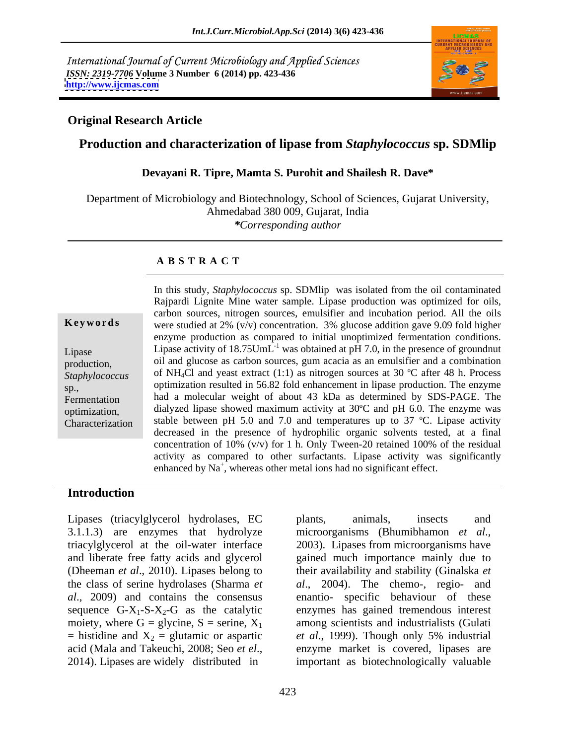International Journal of Current Microbiology and Applied Sciences *ISSN: 2319-7706* **Volume 3 Number 6 (2014) pp. 423-436 <http://www.ijcmas.com>**



### **Original Research Article**

### **Production and characterization of lipase from** *Staphylococcus* **sp. SDMlip**

### **Devayani R. Tipre, Mamta S. Purohit and Shailesh R. Dave\***

Department of Microbiology and Biotechnology, School of Sciences, Gujarat University, Ahmedabad 380 009, Gujarat, India *\*Corresponding author*

### **A B S T R A C T**

**Keywords** were studied at 2% (v/v) concentration. 3% glucose addition gave 9.09 fold higher Lipase Lipase activity of  $18.75$ UmL<sup>-1</sup> was obtained at pH 7.0, in the presence of groundnut production, oil and glucose as carbon sources, gum acacia as an emulsifier and a combination Staphylococcus of NH<sub>4</sub>Cl and yeast extract (1:1) as nitrogen sources at 30 °C after 48 h. Process  $\sin \frac{1}{2}$  optimization resulted in 56.82 fold enhancement in lipase production. The enzyme Fermentation had a molecular weight of about 43 kDa as determined by SDS-PAGE. The optimization, dialyzed lipase showed maximum activity at 30ºC and pH6.0. The enzyme was Characterization stable between pH 5.0 and 7.0 and temperatures up to 37 ºC. Lipase activity In this study, *Staphylococcus* sp. SDMlip was isolated from the oil contaminated Rajpardi Lignite Mine water sample. Lipase production was optimized for oils, carbon sources, nitrogen sources, emulsifier and incubation period. All the oils enzyme production as compared to initial unoptimized fermentation conditions. decreased in the presence of hydrophilic organic solvents tested, at a final concentration of 10% (v/v) for 1 h. Only Tween-20 retained 100% of the residual activity as compared to other surfactants. Lipase activity was significantly enhanced by  $\text{Na}^+$ , whereas other metal ions had no significant effect.

### **Introduction**

Lipases (triacylglycerol hydrolases, EC 3.1.1.3) are enzymes that hydrolyze microorganisms (Bhumibhamon *et al.*, triacylglycerol at the oil-water interface 2003). Lipases from microorganisms have and liberate free fatty acids and glycerol gained much importance mainly due to (Dheeman *et al*., 2010). Lipases belong to their availability and stability (Ginalska*et*  the class of serine hydrolases (Sharma *et al*., 2004). The chemo-, regio- and *al*., 2009) and contains the consensus enantio- specific behaviour of these sequence G-X<sub>1</sub>-S-X<sub>2</sub>-G as the catalytic moiety, where G = glycine, S = serine, X<sub>1</sub> moiety, where G = glycine, S = serine,  $X_1$  among scientists and industrialists (Gulati = histidine and  $X_2$  = glutamic or aspartic *et al.*, 1999). Though only 5% industrial acid (Mala and Takeuchi, 2008; Seo *et el*., enzyme market is covered, lipases are 2014). Lipases are widely distributed in important as biotechnologically valuable

plants, animals, insects and microorganisms (Bhumibhamon *et al*., 2003). Lipases from microorganisms have enzymes has gained tremendous interest among scientists and industrialists (Gulati *et al.*, 1999). Though only 5% industrial enzyme market is covered, lipases are important as biotechnologically valuable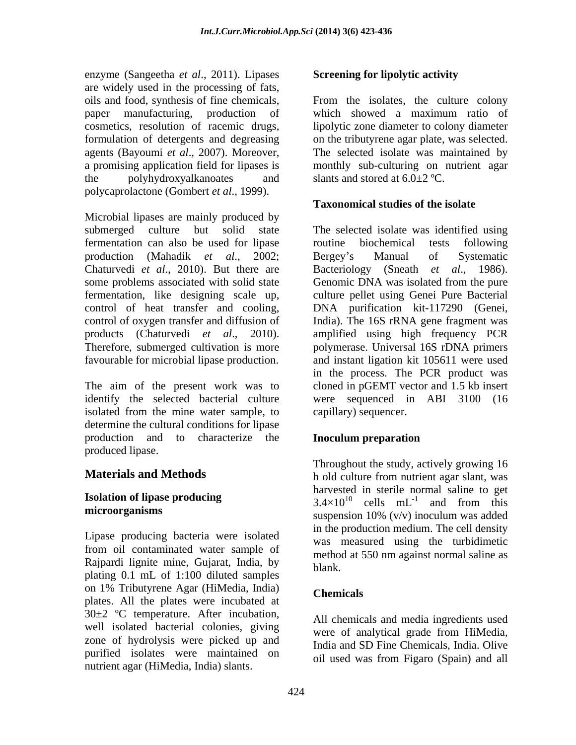enzyme (Sangeetha *et al*., 2011). Lipases are widely used in the processing of fats, polycaprolactone (Gombert *et al*., 1999).

Microbial lipases are mainly produced by fermentation can also be used for lipase production (Mahadik *et al*., 2002; favourable for microbial lipase production.

The aim of the present work was to isolated from the mine water sample, to determine the cultural conditions for lipase production and to characterize the **Inoculum preparation** produced lipase.

Lipase producing bacteria were isolated from oil contaminated water sample of Rajpardi lignite mine, Gujarat, India, by hlank. plating 0.1 mL of 1:100 diluted samples on 1% Tributyrene Agar (HiMedia, India) plates. All the plates were incubated at 30±2 ºC temperature. After incubation, well isolated bacterial colonies, giving<br>were of analytical grade from HiMedia, zone of hydrolysis were picked up and purified isolates were maintained on nutrient agar (HiMedia, India) slants.

# **Screening for lipolytic activity**

oils and food, synthesis of fine chemicals, From the isolates, the culture colony paper manufacturing, production of which showed a maximum ratio of cosmetics, resolution of racemic drugs, lipolytic zone diameter to colony diameter formulation of detergents and degreasing on the tributyrene agar plate, was selected. agents (Bayoumi *et al*., 2007). Moreover, The selected isolate was maintained by a promising application field for lipases is help monthly sub-culturing on nutrient agar the polyhydroxyalkanoates and slants and stored at  $6.0\pm 2$  °C. slants and stored at  $6.0+2$  °C.

# **Taxonomical studies of the isolate**

submerged culture but solid state The selected isolate was identified using Chaturvedi *et al*., 2010). But there are Bacteriology (Sneath *et al*., 1986). some problems associated with solid state Genomic DNA was isolated from the pure fermentation, like designing scale up, culture pellet using Genei Pure Bacterial control of heat transfer and cooling, DNA purification kit-117290 (Genei, control of oxygen transfer and diffusion of India). The 16S rRNA gene fragment was products (Chaturvedi *et al*., 2010). amplified using high frequency PCR Therefore, submerged cultivation is more polymerase. Universal 16S rDNA primers identify the selected bacterial culture were sequenced in ABI 3100 (16 routine biochemical tests following Bergey s Manual of Systematic and instant ligation kit 105611 were used in the process. The PCR product was cloned in pGEMT vector and 1.5 kb insert capillary) sequencer.

# **Inoculum preparation**

**Materials and Methods** h old culture from nutrient agar slant, was **Isolation of lipase producing**  $3.4 \times 10^{10}$  cells  $mL^{-1}$  and from this **microorganisms** suspension 10% (v/v) inoculum was added Throughout the study, actively growing 16 harvested in sterile normal saline to get cells  $mL^{-1}$  and from this and from this suspension 10% (v/v) inoculum was added in the production medium. The cell density was measured using the turbidimetic method at 550 nm against normal saline as blank.

# **Chemicals**

All chemicals and media ingredients used were of analytical grade from HiMedia, India and SD Fine Chemicals, India. Olive oil used was from Figaro (Spain) and all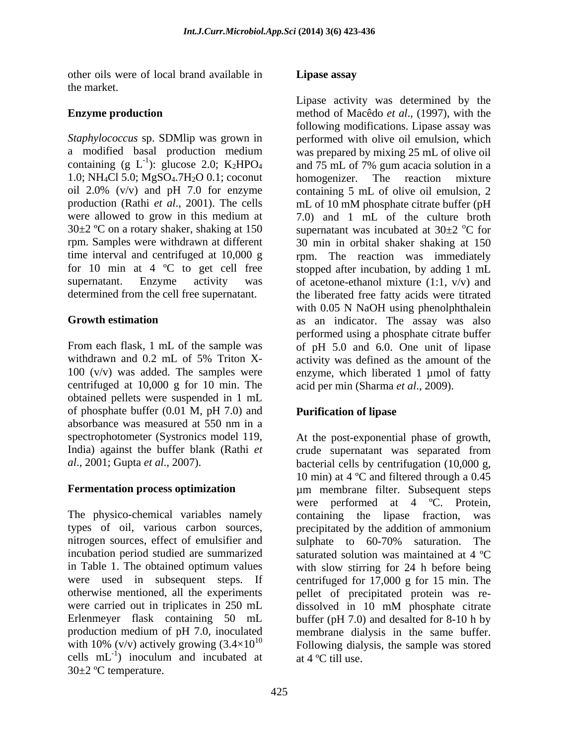other oils were of local brand available in **Lipase assay** the market.

1.0; NH<sub>4</sub>Cl 5.0; MgSO<sub>4</sub>.7H<sub>2</sub>O 0.1; coconut homogenizer. The reaction mixture for 10 min at 4 ºC to get cell free

centrifuged at 10,000 g for 10 min. The obtained pellets were suspended in 1 mL of phosphate buffer (0.01 M, pH 7.0) and absorbance was measured at 550 nm in a

The physico-chemical variables namely containing the lips fraction, was types of oil, various carbon sources, precipitated by the addition of ammonium nitrogen sources, effect of emulsifier and sulphate to 60-70% saturation. The incubation period studied are summarized in Table 1. The obtained optimum values with slow stirring for 24 h before being were used in subsequent steps. If centrifuged for 17,000 g for 15 min. The otherwise mentioned, all the experiments pellet of precipitated protein was re were carried out in triplicates in 250 mL dissolved in 10 mM phosphate citrate Erlenmeyer flask containing 50 mL buffer (pH 7.0) and desalted for 8-10 h by production medium of pH 7.0, inoculated with 10% (v/v) actively growing  $(3.4\times10^{10}$  Following dialysis, the sample was stored cells  $mL^{-1}$ ) inoculum and incubated at at 4 °C till use. 30±2 ºC temperature.

# **Lipase assay**

**Enzyme production** method of Macêdo *et al.*, (1997), with the *Staphylococcus* sp. SDMlip was grown in performed with olive oil emulsion, which a modified basal production medium was prepared by mixing 25 mL of olive oil containing (g L<sup>-1</sup>): glucose 2.0; K<sub>2</sub>HPO<sub>4</sub> and 75 mL of 7% gum acacia solution in a oil 2.0% (v/v) and pH 7.0 for enzyme containing 5 mL of olive oil emulsion, 2 production (Rathi *et al.*, 2001). The cells mL of 10 mM phosphate citrate buffer (pH were allowed to grow in this medium at 7.0) and 1 mL of the culture broth 30 $\pm$ 2 °C on a rotary shaker, shaking at 150 supernatant was incubated at 30 $\pm$ 2 °C for rpm. Samples were withdrawn at different 30 min in orbital shaker shaking at 150 time interval and centrifuged at 10,000 g rpm. The reaction was immediately supernatant. Enzyme activity was of acetone-ethanol mixture (1:1, v/v) and determined from the cell free supernatant. the liberated free fatty acids were titrated **Growth estimation** as an indicator. The assay was also From each flask, 1 mL of the sample was of pH 5.0 and 6.0. One unit of lipase withdrawn and 0.2 mL of 5% Triton X- activity was defined as the amount of the 100 (v/v) was added. The samples were enzyme, which liberated 1 µmol of fatty Lipase activity was determined by the following modifications. Lipase assay was homogenizer. The reaction mixture oC for stopped after incubation, by adding 1 mL with 0.05 N NaOH using phenolphthalein performed using a phosphate citrate buffer acid per min (Sharma *et al*., 2009).

# **Purification of lipase**

spectrophotometer (Systronics model 119, At the post-exponential phase of growth, India) against the buffer blank (Rathi *et*  crude supernatant was separated from *al*., 2001; Gupta *et al*., 2007). bacterial cells by centrifugation (10,000 g, **Fermentation process optimization** µm membrane filter. Subsequent steps ) inoculum and incubated at  $at 4^{\circ}$ C till use. 10 min) at 4 ºC and filtered through a 0.45 were performed at 4 ºC. Protein, containing the lipase fraction, precipitated by the addition of ammonium sulphate to 60-70% saturation. The saturated solution was maintained at 4 ºC dissolved in 10 mM phosphate citrate membrane dialysis in the same buffer. at 4 ºC till use.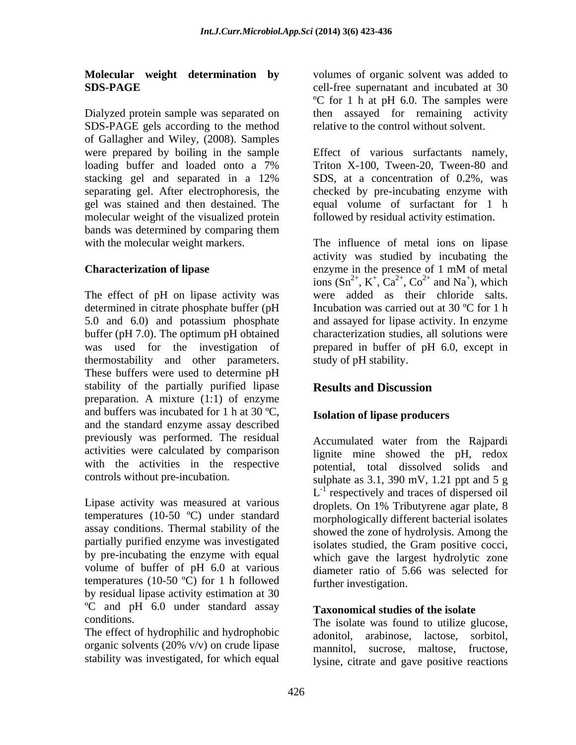# **Molecular weight determination by**

Dialyzed protein sample was separated on then assayed for remaining activity SDS-PAGE gels according to the method of Gallagher and Wiley, (2008). Samples were prepared by boiling in the sample Effect of various surfactants namely, loading buffer and loaded onto a 7% Triton X-100, Tween-20, Tween-80 and stacking gel and separated in a 12% SDS, at a concentration of 0.2%, was separating gel. After electrophoresis, the checked by pre-incubating enzyme with gel was stained and then destained. The equal volume of surfactant for 1 h molecular weight of the visualized protein bands was determined by comparing them

The effect of pH on lipase activity was determined in citrate phosphate buffer (pH was used for the investigation of thermostability and other parameters. These buffers were used to determine pH stability of the partially purified lipase Results and Discussion preparation. A mixture (1:1) of enzyme and buffers was incubated for 1 h at 30 ºC, and the standard enzyme assay described previously was performed. The residual Accumulated water from the Raipardi activities were calculated by comparison with the activities in the respective

Lipase activity was measured at various temperatures (10-50 ºC) under standard assay conditions. Thermal stability of the partially purified enzyme was investigated by pre-incubating the enzyme with equal volume of buffer of pH 6.0 at various temperatures (10-50  $^{\circ}$ C) for 1 h followed by residual lipase activity estimation at 30 ºC and pH 6.0 under standard assay

The effect of hydrophilic and hydrophobic adonitol. stability was investigated, for which equal

**SDS-PAGE** cell-free supernatant and incubated at 30 volumes of organic solvent was added to ºC for 1 h at pH 6.0. The samples were relative to the control without solvent.

> Triton X-100, Tween-20, Tween-80 and SDS, at a concentration of 0.2%, was followed by residual activity estimation.

with the molecular weight markers. The influence of metal ions on lipase **Characterization of lipase** enzyme in the presence of 1 mM of metal 5.0 and 6.0) and potassium phosphate and assayed for lipase activity. In enzyme buffer (pH 7.0). The optimum pH obtained characterization studies, all solutions were activity was studied by incubating the enzyme in the presence of 1 mM of metal ions  $(Sn^{2+}, K^+, Ca^{2+}, Co^{2+}$  and Na<sup>+</sup>), which ,  $K^+$ ,  $Ca^{2+}$ ,  $Co^{2+}$  and  $Na^+$ ), which  $^{2+}$  Co<sup>2+</sup> and No<sup>+</sup>) which ,  $Co<sup>2+</sup>$  and Na<sup>+</sup>), which  $^{2+}$  and  $\text{Ne}^+$  which and  $Na<sup>+</sup>$ ), which ), which were added as their chloride salts. Incubation was carried out at 30 ºC for 1 h prepared in buffer of pH 6.0, except in study of pH stability.

# **Results and Discussion**

# **Isolation of lipase producers**

controls without pre-incubation. sulphate as 3.1, 390 mV, 1.21 ppt and 5 g Accumulated water from the Rajpardi lignite mine showed the pH, redox potential, total dissolved solids and  $L^{-1}$  respectively and traces of dispersed oil droplets. On 1% Tributyrene agar plate, 8 morphologically different bacterial isolates showed the zone of hydrolysis. Among the isolates studied, the Gram positive cocci, which gave the largest hydrolytic zone diameter ratio of 5.66 was selected for further investigation.

### **Taxonomical studies of the isolate**

conditions. The isolate was found to utilize glucose, organic solvents (20% v/v) on crude lipase arabinose, lactose, sorbitol, mannitol, sucrose, maltose, fructose, lysine, citrate and gave positive reactions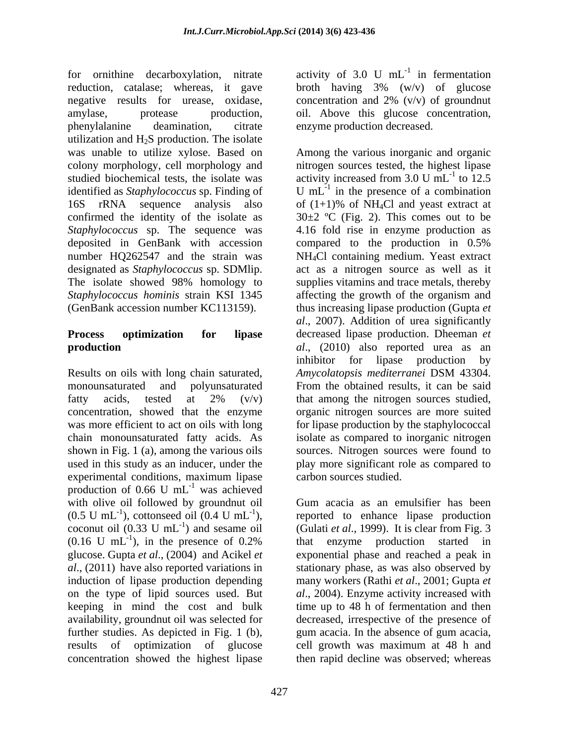for ornithine decarboxylation, nitrate activity of 3.0 U mL<sup>-1</sup> in fermentation reduction, catalase; whereas, it gave broth having 3% (w/v) of glucose negative results for urease, oxidase, concentration and 2% (v/v) of groundnut amylase, protease production, oil. Above this glucose concentration, phenylalanine deamination, citrate enzyme production decreased. utilization and  $H_2S$  production. The isolate was unable to utilize xylose. Based on Among the various inorganic and organic colony morphology, cell morphology and nitrogen sources tested, the highest lipase studied biochemical tests, the isolate was activity increased from 3.0 U mL<sup>-1</sup> to 12.5 identified as *Staphylococcus* sp. Finding of U mL<sup>-1</sup> in the presence of a combination identified as *Staphylococcus* sp. Finding of  $U$  mL<sup>-1</sup> in the presence of a combination 16S rRNA sequence analysis also of  $(1+1)\%$  of NH<sub>4</sub>Cl and yeast extract at confirmed the identity of the isolate as  $30\pm 2$  °C (Fig. 2). This comes out to be *Staphylococcus* sp. The sequence was 4.16 fold rise in enzyme production as deposited in GenBank with accession compared to the production in 0.5% number HQ262547 and the strain was NH4Cl containing medium. Yeast extract designated as *Staphylococcus* sp. SDMlip. act as a nitrogen source as well as it The isolate showed 98% homology to supplies vitamins and trace metals, thereby *Staphylococcus hominis* strain KSI 1345 affecting the growth of the organism and

Results on oils with long chain saturated, *Amycolatopsis mediterranei* DSM 43304. production of 0.66 U  $mL^{-1}$  was achieved  $^{-1}$  wee exhibited was achieved with olive oil followed by groundnut oil Gum acacia as an emulsifier has been  $(0.5 \text{ U } \text{mL}^{-1})$ , cottonseed oil  $(0.4 \text{ U } \text{mL}^{-1})$ , reported to enhance lipase production coconut oil  $(0.33 \text{ U } \text{mL}^{-1})$  and sesame oil (Gulati *et al.*, 1999). It is clear from Fig. 3  $(0.16 \text{ U } \text{mL}^{-1})$ , in the presence of 0.2% that enzyme production started in glucose. Gupta *et al*., (2004) and Acikel *et*  exponential phase and reached a peak in *al*., (2011) have also reported variations in stationary phase, as was also observed by induction of lipase production depending many workers (Rathi *et al*., 2001; Gupta *et*  on the type of lipid sources used. But *al*., 2004). Enzyme activity increased with keeping in mind the cost and bulk time up to 48 h of fermentation and then availability, groundnut oil was selected for decreased, irrespective of the presence of further studies. As depicted in Fig. 1 (b), gum acacia. In the absence of gum acacia, results of optimization of glucose cell growth was maximum at 48 h and concentration showed the highest lipase then rapid decline was observed; whereas

 $^{-1}$  in formontation in fermentation broth having 3% (w/v) of glucose

(GenBank accession number KC113159). thus increasing lipase production (Gupta *et*  **Process optimization for lipase** decreased lipase production. Dheeman *et*  **production** *al*., (2010) also reported urea as an monounsaturated and polyunsaturated From the obtained results, it can be said fatty acids, tested at  $2\%$  (v/v) that among the nitrogen sources studied, concentration, showed that the enzyme organic nitrogen sources are more suited was more efficient to act on oils with long for lipase production by the staphylococcal chain monounsaturated fatty acids. As isolate as compared to inorganic nitrogen shown in Fig. 1 (a), among the various oils sources. Nitrogen sources were found to used in this study as an inducer, under the play more significant role as compared to experimental conditions, maximum lipase carbon sources studied. activity increased from  $3.0 \text{ U } \text{mL}^{-1}$  to  $12.5$  $-1$  to 12.5 to 12.5 of  $(1+1)\%$  of NH<sub>4</sub>Cl and yeast extract at compared to the production in 0.5% supplies vitamins and trace metals, thereby *al*., 2007). Addition of urea significantly inhibitor for lipase production by *Amycolatopsis mediterranei* DSM 43304. that among the nitrogen sources studied,

), in the presence of 0.2% that enzyme production started in carbon sources studied. Gum acacia as an emulsifier has been that enzyme production started in gum acacia. In the absence of gum acacia,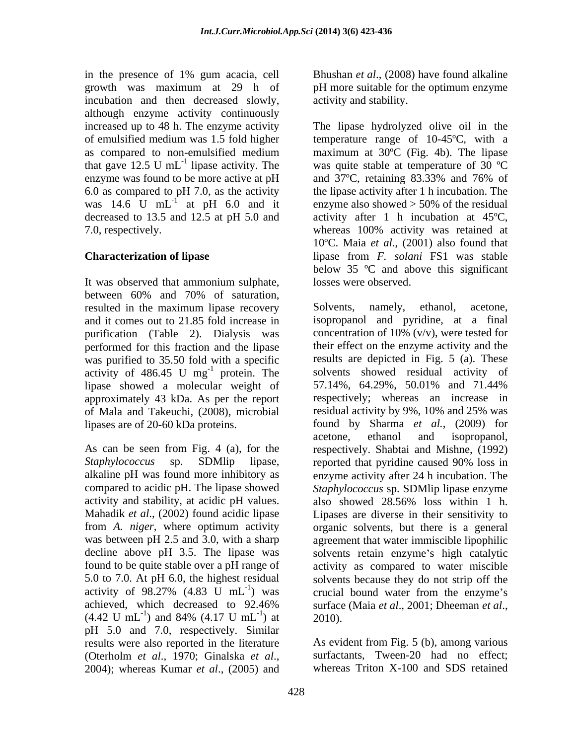in the presence of 1% gum acacia, cell growth was maximum at 29 h of pH more suitable for the optimum enzyme incubation and then decreased slowly, although enzyme activity continuously increased up to 48 h. The enzyme activity The lipase hydrolyzed olive oil in the enzyme was found to be more active at pH and 37<sup>o</sup>C, retaining 83.33% and 76% of 7.0, respectively. Whereas 100% activity was retained at

It was observed that ammonium sulphate, between 60% and 70% of saturation, resulted in the maximum lipase recovery Solvents, namely, ethanol, acetone, purification (Table 2). Dialysis was performed for this fraction and the lipase was purified to 35.50 fold with a specific activity of  $486.45$  U mg<sup>-1</sup> protein. The lipase showed a molecular weight of 57.14%, 64.29%, 50.01% and 71.44% of Mala and Takeuchi, (2008), microbial

activity and stability, at acidic pH values. also showed 28.56% loss within 1 h. achieved, which decreased to  $92.46\%$  surface (Maia *et al.*, 2001; Dheeman *et al.*,  $(4.42 \text{ U mL}^{-1})$  and  $84\%$   $(4.17 \text{ U mL}^{-1})$  at 2010). pH 5.0 and 7.0, respectively. Similar results were also reported in the literature (Oterholm *et al*., 1970; Ginalska *et al*., 2004); whereas Kumar *et al*., (2005) and

428

Bhushan *et al*., (2008) have found alkaline activity and stability.

of emulsified medium was 1.5 fold higher temperature range of 10-45ºC, with a as compared to non-emulsified medium maximum at 30°C (Fig. 4b). The lipase that gave 12.5 U mL<sup>-1</sup> lipase activity. The was quite stable at temperature of 30  $^{\circ}$ C 6.0 as compared to pH 7.0, as the activity the lipase activity after 1 h incubation. The was 14.6 U mL<sup>-1</sup> at pH 6.0 and it enzyme also showed > 50% of the residual decreased to 13.5 and 12.5 at pH 5.0 and activity after 1 h incubation at 45ºC, **Characterization of lipase** lipase from *F. solani* FS1 was stable The lipase hydrolyzed olive oil in the maximum at 30ºC (Fig. 4b). The lipase and 37ºC, retaining 83.33% and 76% of whereas 100% activity was retained at 10ºC. Maia *et al*., (2001) also found that below 35 ºC and above this significant losses were observed.

and it comes out to 21.85 fold increase in isopropanol and pyridine, at a final <sup>-1</sup> protein. The solvents showed residual activity of approximately 43 kDa. As per the report respectively; whereas an increase in lipases are of 20-60 kDa proteins. found by Sharma *et al.*, (2009) for acetone, ethanol and isopropanol,<br>As can be seen from Fig. 4 (a), for the respectively. Shabtai and Mishne, (1992) *Staphylococcus* sp. SDMlip lipase, reported that pyridine caused 90% loss in alkaline pH was found more inhibitory as enzyme activity after 24 h incubation. The compared to acidic pH. The lipase showed *Staphylococcus* sp. SDMlip lipase enzyme Mahadik *et al*., (2002) found acidic lipase Lipases are diverse in their sensitivity to from *A. niger*, where optimum activity organic solvents, but there is a general was between pH 2.5 and 3.0, with a sharp agreement that water immiscible lipophilic decline above pH 3.5. The lipase was solvents retain enzyme's high catalytic found to be quite stable over a pH range of activity as compared to water miscible 5.0 to 7.0. At pH 6.0, the highest residual solvents because they do not strip off the activity of  $98.27\%$  (4.83 U mL<sup>-1</sup>) was crucial bound water from the enzyme's  $(4.42 \text{ U } \text{mL}^{-1})$  and 84%  $(4.17 \text{ U } \text{mL}^{-1})$  at 2010). ) and 84%  $(4.17 \text{ U } \text{mL}^{-1})$  at 2010).  $-1$  et 2010) ) at  $2010$ . Solvents, namely, ethanol, acetone, concentration of 10% (v/v), were tested for their effect on the enzyme activity and the results are depicted in Fig. 5 (a). These 57.14%, 64.29%, 50.01% and 71.44% residual activity by 9%, 10% and 25% was acetone, ethanol and isopropanol, respectively. Shabtai and Mishne, (1992) also showed 28.56% loss within 1 h.

> As evident from Fig. 5 (b), among various surfactants, Tween-20 had no effect; whereas Triton X-100 and SDS retained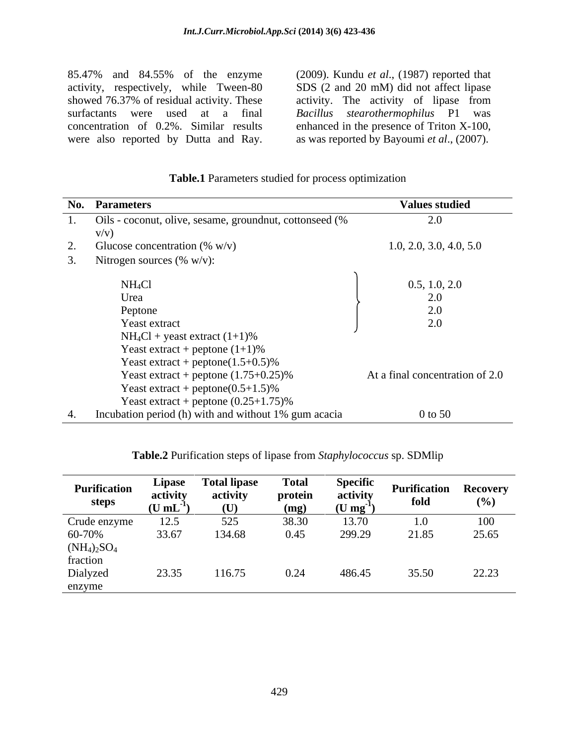85.47% and 84.55% of the enzyme (2009). Kundu *et al.*, (1987) reported that activity, respectively, while Tween-80 SDS (2 and 20 mM) did not affect lipase activity, respectively, while Tween-80 SDS (2 and 20 mM) did not affect lipase showed 76.37% of residual activity. These activity. The activity of lipase from surfactants were used at a final *Bacillus stearothermophilus* P1 was concentration of 0.2%. Similar results enhanced in the presence of Triton X-100, 85.47% and 84.55% of the enzyme (2009). Kundu *et al.*, (1987) reported that activity, respectively, while Tween-80 SDS (2 and 20 mM) did not affect lipase showed 76.37% of residual activity. These activity. The activity o

as was reported by Bayoumi *et al*., (2007).

|    | No. Parameters                                          | <b>Values studied</b>           |
|----|---------------------------------------------------------|---------------------------------|
|    | Oils - coconut, olive, sesame, groundnut, cottonseed (% | 2.0                             |
|    | V/V)                                                    |                                 |
| Ź. | Glucose concentration (% $w/v$ )                        | 1.0, 2.0, 3.0, 4.0, 5.0         |
|    | Nitrogen sources $(\% w/v)$ :                           |                                 |
|    | $NH_4Cl$                                                | 0.5, 1.0, 2.0                   |
|    |                                                         |                                 |
|    | Urea                                                    |                                 |
|    | Peptone                                                 |                                 |
|    | Yeast extract                                           |                                 |
|    | $NH_4Cl$ + yeast extract $(1+1)\%$                      |                                 |
|    | Yeast extract + peptone $(1+1)\%$                       |                                 |
|    | Yeast extract + peptone( $1.5+0.5$ )%                   |                                 |
|    | Yeast extract + peptone $(1.75+0.25)\%$                 | At a final concentration of 2.0 |
|    | Yeast extract + peptone( $0.5+1.5$ )%                   |                                 |
|    |                                                         |                                 |
|    | Yeast extract + peptone $(0.25+1.75)\%$                 |                                 |
|    | Incubation period (h) with and without 1% gum acacia    | $0$ to 50                       |

### **Table.1** Parameters studied for process optimization

| Table.2 Purification steps of lipase f<br>sp. SDMli <sub>l</sub><br>• from <i>Staphylococcus</i> |
|--------------------------------------------------------------------------------------------------|
|--------------------------------------------------------------------------------------------------|

| <b>Purification</b><br>steps           | Lipase<br>activity<br>(U mL | <b>Total lipase</b><br>activity<br>(U) | <b>Total</b><br>protein<br>(mg) | <b>Specific</b><br>activity<br>$(U \, mg^{-1})$ | <b>Purification</b><br>fold | <b>Recovery</b><br>(%) |
|----------------------------------------|-----------------------------|----------------------------------------|---------------------------------|-------------------------------------------------|-----------------------------|------------------------|
|                                        | 12.5                        | 525                                    | 38.30                           | 13.70                                           | 1.0 <sub>1</sub>            | 100                    |
| Crude enzyme<br>60-70%                 | 33.67                       | 134.68                                 | 0.45                            | 299.29                                          | 21.85                       | 25.65                  |
|                                        |                             |                                        |                                 |                                                 |                             |                        |
|                                        |                             |                                        |                                 |                                                 |                             |                        |
| $(NH_4)_2SO_4$<br>fraction<br>Dialyzed | 23.35                       | 116.75                                 | 0.24                            | 486.4'                                          | 35.50                       | 22.23                  |
| enzyme                                 |                             |                                        |                                 |                                                 |                             |                        |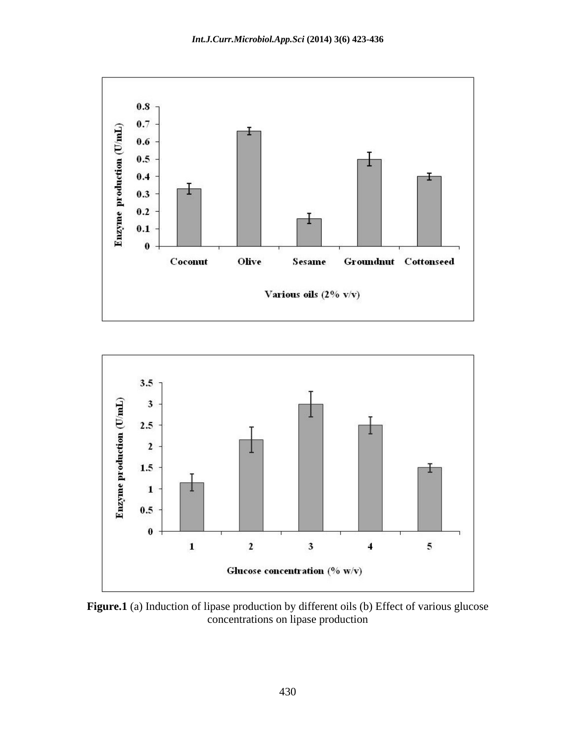



Figure.1 (a) Induction of lipase production by different oils (b) Effect of various glucose concentrations on lipase production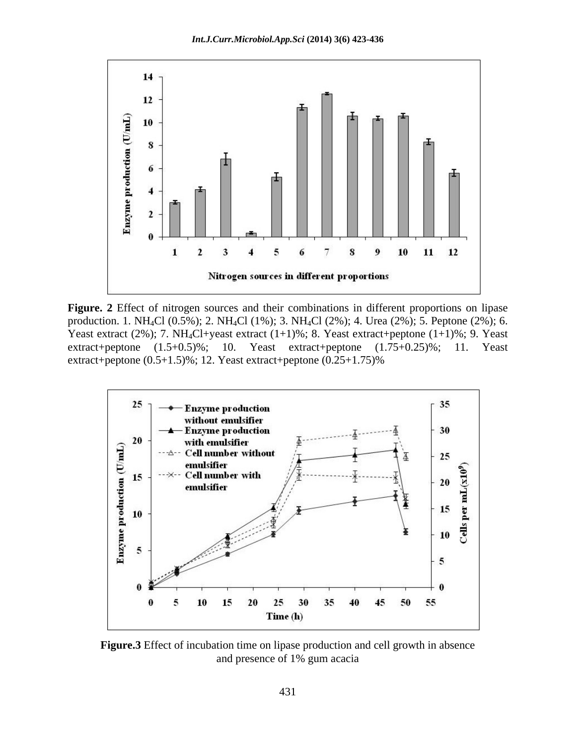

**Figure. 2** Effect of nitrogen sources and their combinations in different proportions on lipase production. 1. NH4Cl (0.5%); 2. NH4Cl (1%); 3. NH4Cl (2%); 4. Urea (2%); 5. Peptone (2%); 6. Yeast extract (2%); 7. NH<sub>4</sub>Cl+yeast extract (1+1)%; 8. Yeast extract+peptone (1+1)%; 9. Yeast extract+peptone  $(1.5+0.5)\%$ ; 10. Yeast extract+peptone  $(1.75+0.25)\%$ ; 11. Yeast extract+peptone  $(0.5+1.5)$ %; 12. Yeast extract+peptone  $(0.25+1.75)$ %



**Figure.3** Effect of incubation time on lipase production and cell growth in absence and presence of 1% gum acacia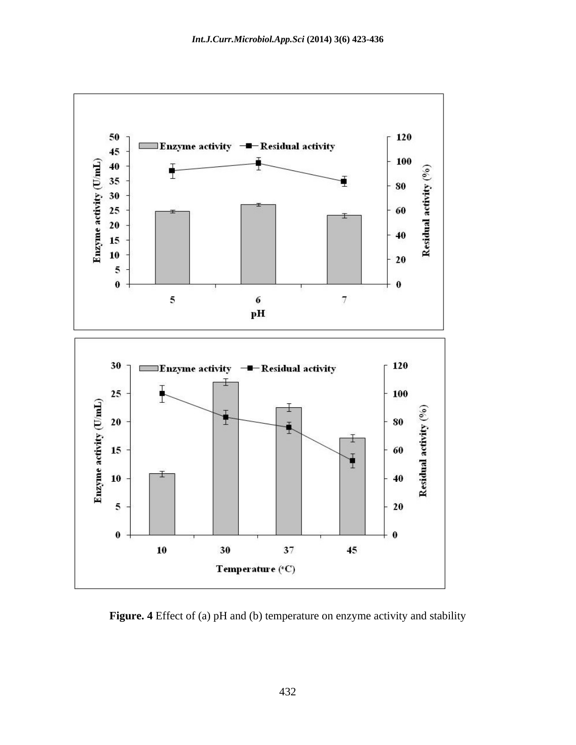

**Figure. 4** Effect of (a) pH and (b) temperature on enzyme activity and stability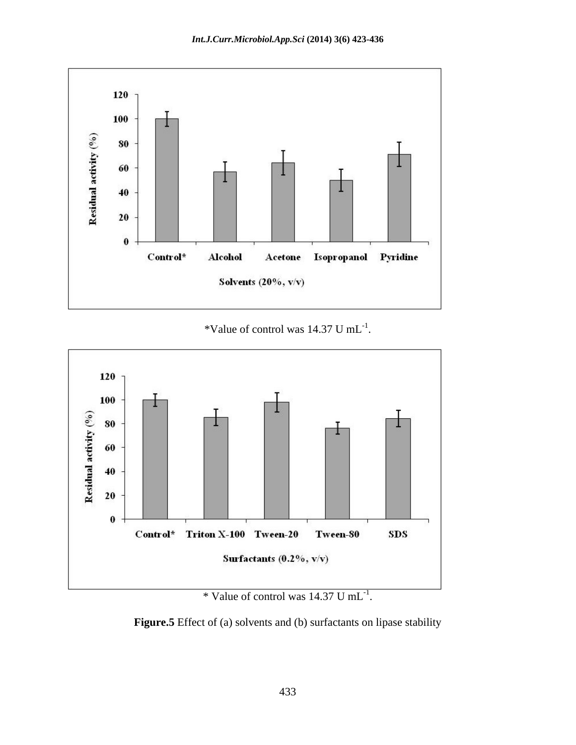

\*Value of control was  $14.37 \text{ U } \text{mL}^{-1}$ . .



\* Value of control was  $14.37 \text{ U mL}^{-1}$ . . The contract of the contract of the contract of the contract of the contract of the contract of the contract<br>The contract of the contract of the contract of the contract of the contract of the contract of the contract o

**Figure.5** Effect of (a) solvents and (b) surfactants on lipase stability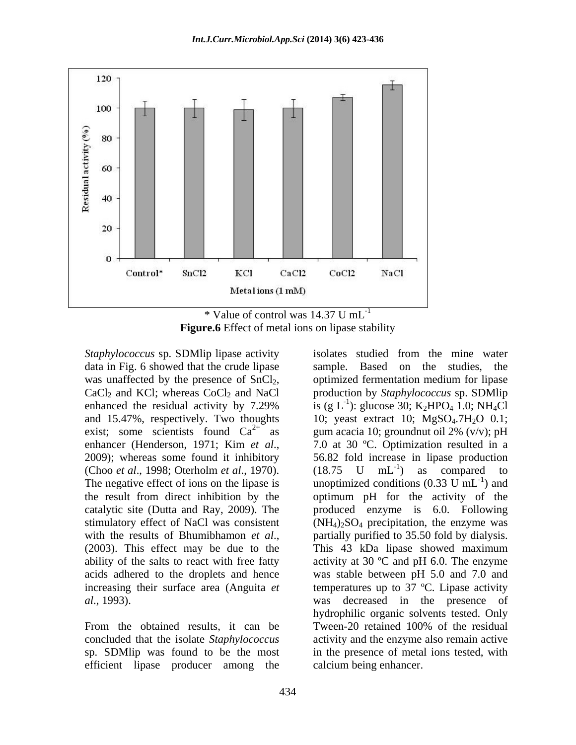

 $*$  Value of control was 14.37 U mL<sup>-1</sup> **Figure.6** Effect of metal ions on lipase stability

*Staphylococcus* sp. SDMlip lipase activity isolates studied from the mine water data in Fig. 6 showed that the crude lipase sample. Based on the studies, the (Choo *et al*., 1998; Oterholm *et al*., 1970).

efficient lipase producer among the

was unaffected by the presence of SnCl<sub>2</sub>, optimized fermentation medium for lipase<br>CaCl<sub>2</sub> and KCl; whereas CoCl<sub>2</sub> and NaCl production by *Staphylococcus* sp. SDMlip enhanced the residual activity by 7.29% is  $(g L<sup>-1</sup>)$ : glucose 30; K<sub>2</sub>HPO<sub>4</sub> 1.0; NH<sub>4</sub>Cl and 15.47%, respectively. Two thoughts  $10$ ; yeast extract 10;  $MgSO<sub>4</sub>$ .7H<sub>2</sub>O 0.1; exist; some scientists found  $Ca^{2+}$  as gum acacia 10; groundnut oil 2% (v/v); pH enhancer (Henderson, 1971; Kim *et al.*, 2009); whereas some found it inhibitory 56.82 fold increase in lipase production The negative effect of ions on the lipase is  $\qquad$  unoptimized conditions (0.33 U mL<sup>-1</sup>) and the result from direct inhibition by the optimum pH for the activity of the catalytic site (Dutta and Ray, 2009). The produced enzyme is 6.0. Following stimulatory effect of NaCl was consistent  $(NH_4)_2SO_4$  precipitation, the enzyme was with the results of Bhumibhamon *et al.*, partially purified to 35.50 fold by dialysis.<br>(2003). This effect may be due to the This 43 kDa lipase showed maximum ability of the salts to react with free fatty activity at 30  $^{\circ}$ C and pH 6.0. The enzyme acids adhered to the droplets and hence was stable between pH 5.0 and 7.0 and increasing their surface area (Anguita *et*  temperatures up to 37 ºC. Lipase activity *al*., 1993). was decreased in the presence of hydrophilic organic solvents tested. Only<br>From the obtained results, it can be Tween-20 retained 100% of the residual concluded that the isolate *Staphylococcus* activity and the enzyme also remain active sp. SDMlip was found to be the most in the presence of metal ions tested, with isolates studied from the mine water sample. Based on the studies, optimized fermentation medium for lipase production by *Staphylococcus* sp. SDMlip is (g L<sup>-1</sup>): glucose 30; K<sub>2</sub>HPO<sub>4</sub> 1.0; NH<sub>4</sub>Cl 7.0 at 30 ºC. Optimization resulted in a 56.82 fold increase in lipase production  $(18.75 \text{ U } mL^{-1})$  as compared to  $\begin{bmatrix} -1 \\ 0 \\ 0 \end{bmatrix}$  compared to ) as compared to  $^{-1}$  and ) and partially purified to 35.50 fold by dialysis. This 43 kDa lipase showed maximum hydrophilic organic solvents tested. Only Tween-20 retained 100% of the residual calcium being enhancer.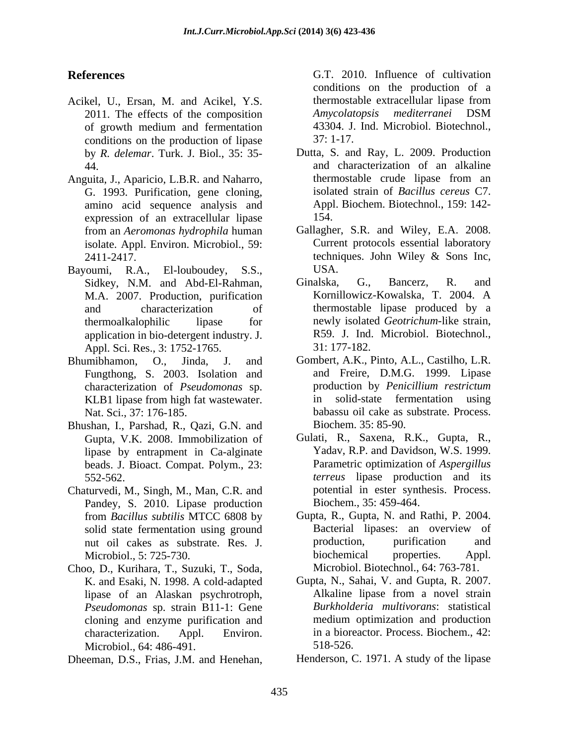- Acikel, U., Ersan, M. and Acikel, Y.S. 2011. The effects of the composition *Amycolatopsis* conditions on the production of lipase 37: 1-17. by *R. delemar*. Turk. J. Biol., 35: 35-
- Anguita, J., Aparicio, L.B.R. and Naharro, G. 1993. Purification, gene cloning, amino acid sequence analysis and expression of an extracellular lipase 154. from an *Aeromonas hydrophila* human isolate. Appl. Environ. Microbiol., 59:
- Bayoumi, R.A., El-louboudey, S.S., M.A. 2007. Production, purification application in bio-detergent industry. J.  $R59.$  J. Ind.<br>Appl. Sci. Res., 3: 1752-1765.  $31: 177-182.$ Appl. Sci. Res., 3: 1752-1765. **Reference Controllaristics** Controllaristics in the spin and Aristophe extracted the proposition of a 2011. The effects of the composition and controllar linear from the spin and the spin and the spin and the spin and th
- Fungthong, S. 2003. Isolation and characterization of *Pseudomonas* sp.
- Bhushan, I., Parshad, R., Qazi, G.N. and lipase by entrapment in Ca-alginate beads. J. Bioact. Compat. Polym., 23:
- Chaturvedi, M., Singh, M., Man, C.R. and Pandey, S. 2010. Lipase production solid state fermentation using ground
- Choo, D., Kurihara, T., Suzuki, T., Soda, lipase of an Alaskan psychrotroph, cloning and enzyme purification and Microbiol., 64: 486-491. 518-526.
- 

**References C.T.** 2010. Influence of cultivation of growth medium and fermentation conditions on the production of a thermostable extracellular lipase from *Amycolatopsis mediterranei* DSM 43304. J. Ind. Microbiol. Biotechnol., 37: 1-17.

- 44. and characterization of an alkaline Dutta, S. and Ray, L. 2009. Production thermostable crude lipase from an isolated strain of *Bacillus cereus* C7. Appl. Biochem. Biotechnol., 159: 142- 154.
- 2411-2417. techniques. John Wiley & Sons Inc,<br>
voumi. R.A., El-louboudev. S.S., USA. Gallagher, S.R. and Wiley, E.A. 2008. Current protocols essential laboratory techniques. John Wiley & Sons Inc, USA.
- Sidkey, N.M. and Abd-El-Rahman, Ginalska, G., Bancerz, R. and and characterization of thermostable lipase produced by a thermoalkalophilic lipase for newly isolated *Geotrichum*-like strain, Ginalska, G., Bancerz, R. and Kornillowicz-Kowalska, T. 2004. A R59. J. Ind. Microbiol. Biotechnol., 31: 177-182.
- Bhumibhamon, O., Jinda, J. and Gombert, A.K., Pinto, A.L., Castilho, L.R. KLB1 lipase from high fat wastewater. The solid-state fermentation using Nat. Sci., 37: 176-185. babassu oil cake as substrate. Process. and Freire, D.M.G. 1999. Lipase production by *Penicillium restrictum* in solid-state fermentation using Biochem. 35: 85-90.
	- Gupta, V.K. 2008. Immobilization of Gulati, R., Saxena, R.K., Gupta, R., 552-562. *terreus* lipase production and its Yadav, R.P. and Davidson, W.S. 1999. Parametric optimization of *Aspergillus*  potential in ester synthesis. Process. Biochem., 35: 459-464.
	- from *Bacillus subtilis* MTCC 6808 by Gupta, R., Gupta, N. and Rathi, P. 2004.<br>
	Solid state fermentation using ground Bacterial lipases: an overview of nut oil cakes as substrate. Res. J. Microbiol., 5: 725-730. biochemical properties. Appl. Gupta, R., Gupta, N. and Rathi, P. 2004. Bacterial lipases: an overview of production, purification and biochemical properties. Appl. Microbiol. Biotechnol., 64: 763-781.
	- K. and Esaki, N. 1998. A cold-adapted Gupta, N., Sahai, V. and Gupta, R. 2007.<br>
	lipase of an Alaskan psychrotroph. Alkaline lipase from a novel strain *Pseudomonas* sp. strain B11-1: Gene *Burkholderia multivorans*: statistical characterization. Appl. Environ. in a bioreactor. Process. Biochem., 42: Gupta, N., Sahai, V. and Gupta, R. 2007. Alkaline lipase from a novel strain medium optimization and production 518-526.
		- Henderson, C. 1971. A study of the lipase